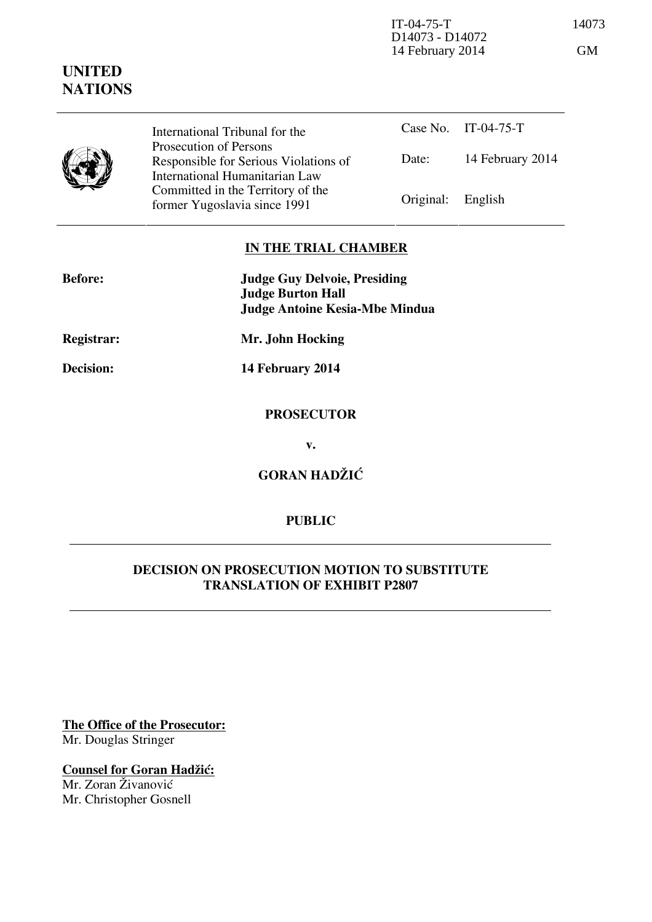IT-04-75-T 14073 D14073 - D14072 14 February 2014 GM

|  | International Tribunal for the                                                                      |                   | Case No. IT-04-75-T |
|--|-----------------------------------------------------------------------------------------------------|-------------------|---------------------|
|  | Prosecution of Persons<br>Responsible for Serious Violations of                                     | Date:             | 14 February 2014    |
|  | International Humanitarian Law<br>Committed in the Territory of the<br>former Yugoslavia since 1991 | Original: English |                     |

## **IN THE TRIAL CHAMBER**

| <b>Before:</b>    | <b>Judge Guy Delvoie, Presiding</b><br><b>Judge Burton Hall</b><br><b>Judge Antoine Kesia-Mbe Mindua</b> |
|-------------------|----------------------------------------------------------------------------------------------------------|
| <b>Registrar:</b> | Mr. John Hocking                                                                                         |
| Decision:         | 14 February 2014                                                                                         |
|                   | <b>PROSECUTOR</b>                                                                                        |

**v.** 

**GORAN HADŽIĆ** 

### **PUBLIC**

#### **DECISION ON PROSECUTION MOTION TO SUBSTITUTE TRANSLATION OF EXHIBIT P2807**

**The Office of the Prosecutor:** Mr. Douglas Stringer

**Counsel for Goran Hadžić:** Mr. Zoran Živanović Mr. Christopher Gosnell

# **UNITED NATIONS**